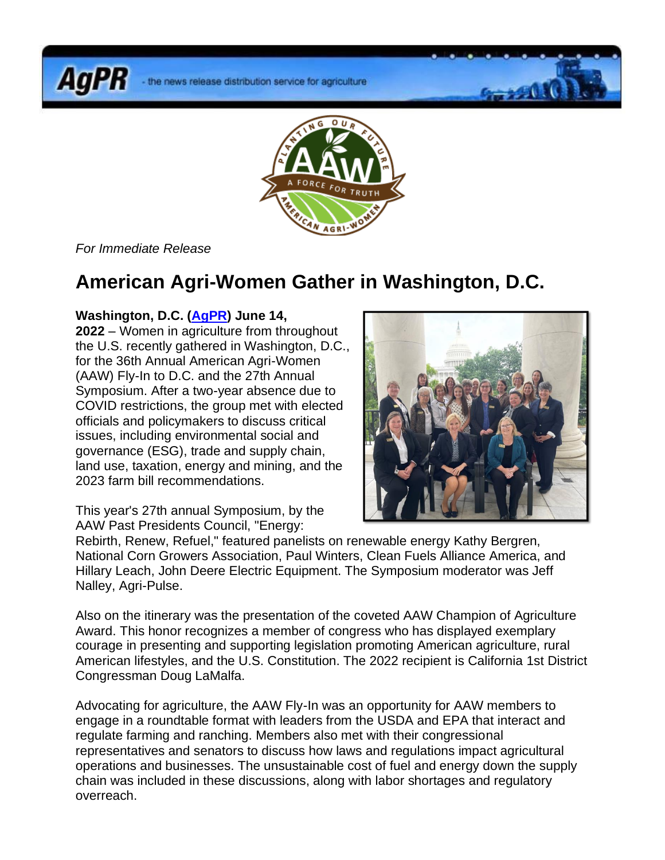**AgPR** 



*For Immediate Release*

## **American Agri-Women Gather in Washington, D.C.**

## **Washington, D.C. [\(AgPR\)](http://www.agnewscenter.com/trk/process.cfm?track=5555&tc=2&codex=253782) June 14,**

**2022** – Women in agriculture from throughout the U.S. recently gathered in Washington, D.C., for the 36th Annual American Agri-Women (AAW) Fly-In to D.C. and the 27th Annual Symposium. After a two-year absence due to COVID restrictions, the group met with elected officials and policymakers to discuss critical issues, including environmental social and governance (ESG), trade and supply chain, land use, taxation, energy and mining, and the 2023 farm bill recommendations.

This year's 27th annual Symposium, by the AAW Past Presidents Council, "Energy:



Rebirth, Renew, Refuel," featured panelists on renewable energy Kathy Bergren, National Corn Growers Association, Paul Winters, Clean Fuels Alliance America, and Hillary Leach, John Deere Electric Equipment. The Symposium moderator was Jeff Nalley, Agri-Pulse.

Also on the itinerary was the presentation of the coveted AAW Champion of Agriculture Award. This honor recognizes a member of congress who has displayed exemplary courage in presenting and supporting legislation promoting American agriculture, rural American lifestyles, and the U.S. Constitution. The 2022 recipient is California 1st District Congressman Doug LaMalfa.

Advocating for agriculture, the AAW Fly-In was an opportunity for AAW members to engage in a roundtable format with leaders from the USDA and EPA that interact and regulate farming and ranching. Members also met with their congressional representatives and senators to discuss how laws and regulations impact agricultural operations and businesses. The unsustainable cost of fuel and energy down the supply chain was included in these discussions, along with labor shortages and regulatory overreach.